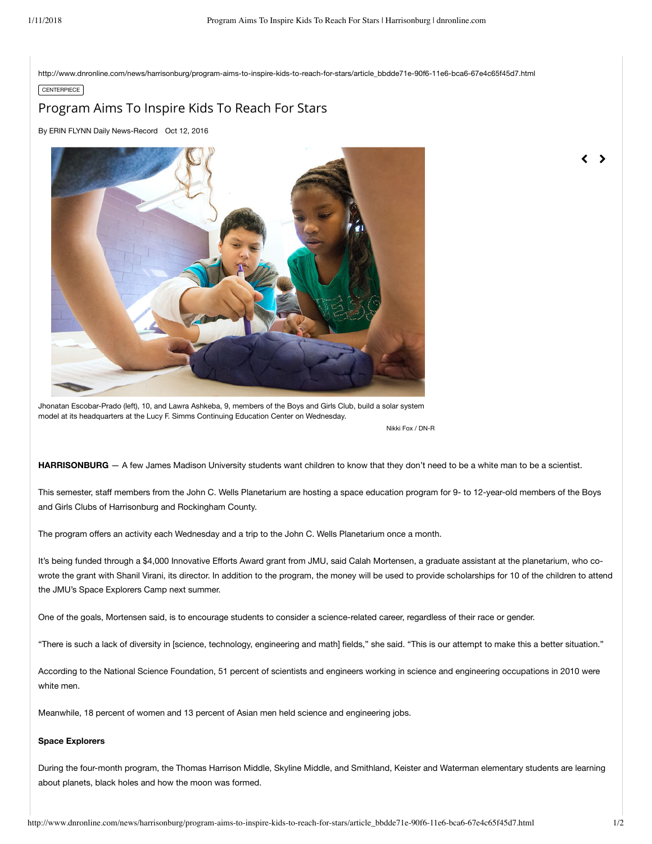http://www.dnronline.com/news/harrisonburg/program-aims-to-inspire-kids-to-reach-for-stars/article\_bbdde71e-90f6-11e6-bca6-67e4c65f45d7.html

## **CENTERPIECE**

## Program Aims To Inspire Kids To Reach For Stars

By ERIN FLYNN Daily News-Record Oct 12, 2016



Jhonatan Escobar-Prado (left), 10, and Lawra Ashkeba, 9, members of the Boys and Girls Club, build a solar system model at its headquarters at the Lucy F. Simms Continuing Education Center on Wednesday.

Nikki Fox / DN-R

HARRISONBURG - A few James Madison University students want children to know that they don't need to be a white man to be a scientist.

This semester, staff members from the John C. Wells Planetarium are hosting a space education program for 9- to 12-year-old members of the Boys and Girls Clubs of Harrisonburg and Rockingham County.

The program offers an activity each Wednesday and a trip to the John C. Wells Planetarium once a month.

It's being funded through a \$4,000 Innovative Efforts Award grant from JMU, said Calah Mortensen, a graduate assistant at the planetarium, who cowrote the grant with Shanil Virani, its director. In addition to the program, the money will be used to provide scholarships for 10 of the children to attend the JMU's Space Explorers Camp next summer.

One of the goals, Mortensen said, is to encourage students to consider a science-related career, regardless of their race or gender.

"There is such a lack of diversity in [science, technology, engineering and math] fields," she said. "This is our attempt to make this a better situation."

According to the National Science Foundation, 51 percent of scientists and engineers working in science and engineering occupations in 2010 were white men.

Meanwhile, 18 percent of women and 13 percent of Asian men held science and engineering jobs.

## **Space Explorers**

During the four-month program, the Thomas Harrison Middle, Skyline Middle, and Smithland, Keister and Waterman elementary students are learning about planets, black holes and how the moon was formed.

 $\rightarrow$